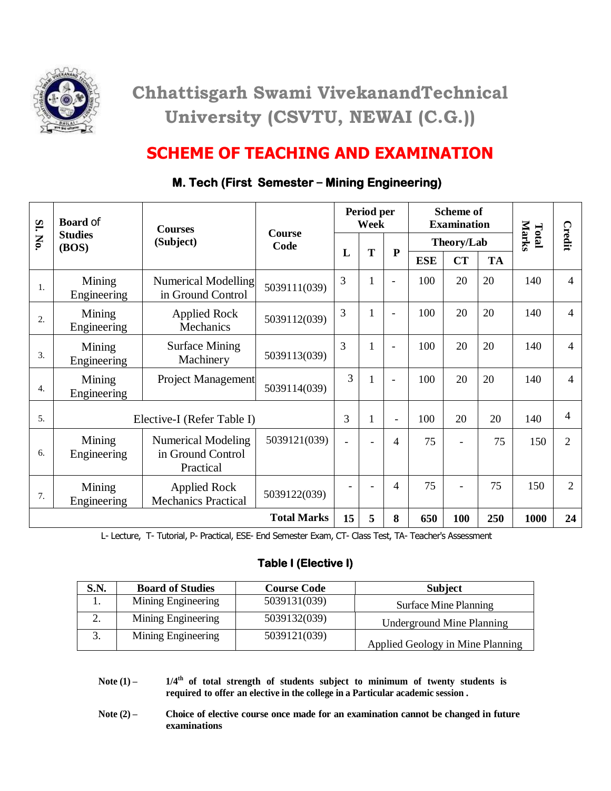

# **Chhattisgarh Swami VivekanandTechnical University (CSVTU, NEWAI (C.G.))**

### **SCHEME OF TEACHING AND EXAMINATION**

| SI.                | <b>Board of</b><br><b>Studies</b><br>(BOS) | <b>Courses</b><br>(Subject)                                 | <b>Course</b><br>Code | Period per<br>Week       |   |                          | <b>Scheme of</b><br><b>Examination</b> |     |           |                |                |
|--------------------|--------------------------------------------|-------------------------------------------------------------|-----------------------|--------------------------|---|--------------------------|----------------------------------------|-----|-----------|----------------|----------------|
| No.                |                                            |                                                             |                       |                          | T | ${\bf P}$                | Theory/Lab                             |     |           | Marks<br>Total | Credit         |
|                    |                                            |                                                             |                       | L                        |   |                          | <b>ESE</b>                             | CT  | <b>TA</b> |                |                |
| 1.                 | Mining<br>Engineering                      | <b>Numerical Modelling</b><br>in Ground Control             | 5039111(039)          | 3                        | 1 | $\overline{\phantom{0}}$ | 100                                    | 20  | 20        | 140            | $\overline{4}$ |
| 2.                 | Mining<br>Engineering                      | <b>Applied Rock</b><br>Mechanics                            | 5039112(039)          | 3                        | 1 | $\overline{\phantom{0}}$ | 100                                    | 20  | 20        | 140            | $\overline{4}$ |
| 3.                 | Mining<br>Engineering                      | <b>Surface Mining</b><br>Machinery                          | 5039113(039)          | 3                        | 1 | $\overline{\phantom{0}}$ | 100                                    | 20  | 20        | 140            | $\overline{4}$ |
| $\overline{4}$ .   | Mining<br>Engineering                      | Project Management                                          | 5039114(039)          | 3                        | 1 | $\blacksquare$           | 100                                    | 20  | 20        | 140            | $\overline{4}$ |
| 5.                 | Elective-I (Refer Table I)                 |                                                             | 3                     | $\mathbf{1}$             | - | 100                      | 20                                     | 20  | 140       | $\overline{4}$ |                |
| 6.                 | Mining<br>Engineering                      | <b>Numerical Modeling</b><br>in Ground Control<br>Practical | 5039121(039)          | $\overline{\phantom{a}}$ |   | 4                        | 75                                     |     | 75        | 150            | $\overline{2}$ |
| 7.                 | Mining<br>Engineering                      | <b>Applied Rock</b><br><b>Mechanics Practical</b>           | 5039122(039)          |                          |   | 4                        | 75                                     |     | 75        | 150            | $\overline{2}$ |
| <b>Total Marks</b> |                                            |                                                             |                       | 15                       | 5 | 8                        | 650                                    | 100 | 250       | 1000           | 24             |

### **M. Tech (First Semester – Mining Engineering)**

L- Lecture, T- Tutorial, P- Practical, ESE- End Semester Exam, CT- Class Test, TA- Teacher's Assessment

#### **Table I (Elective I)**

| S.N.            | <b>Board of Studies</b> | <b>Course Code</b> | <b>Subject</b>                   |
|-----------------|-------------------------|--------------------|----------------------------------|
| 1.              | Mining Engineering      | 5039131(039)       | <b>Surface Mine Planning</b>     |
| ۷.              | Mining Engineering      | 5039132(039)       | <b>Underground Mine Planning</b> |
| $\mathfrak{I}.$ | Mining Engineering      | 5039121(039)       | Applied Geology in Mine Planning |

- **Note (1) – 1/4th of total strength of students subject to minimum of twenty students is required to offer an elective in the college in a Particular academic session .**
- **Note (2) – Choice of elective course once made for an examination cannot be changed in future examinations**